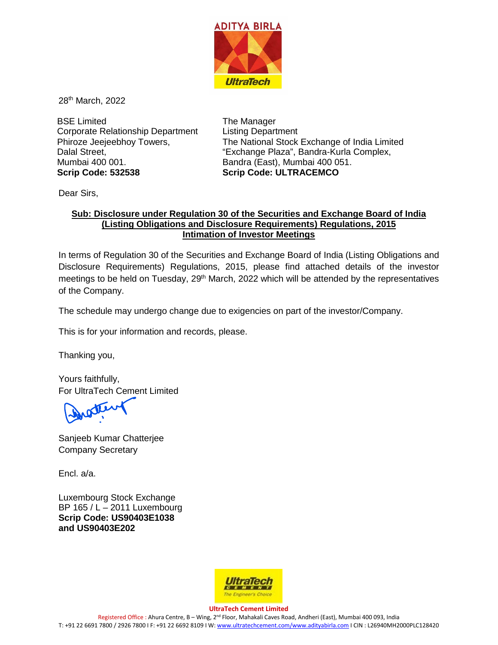

28th March, 2022

BSE Limited Corporate Relationship Department Phiroze Jeejeebhoy Towers, Dalal Street, Mumbai 400 001. **Scrip Code: 532538**

The Manager Listing Department The National Stock Exchange of India Limited "Exchange Plaza", Bandra-Kurla Complex, Bandra (East), Mumbai 400 051. **Scrip Code: ULTRACEMCO**

Dear Sirs,

## **Sub: Disclosure under Regulation 30 of the Securities and Exchange Board of India (Listing Obligations and Disclosure Requirements) Regulations, 2015 Intimation of Investor Meetings**

In terms of Regulation 30 of the Securities and Exchange Board of India (Listing Obligations and Disclosure Requirements) Regulations, 2015, please find attached details of the investor meetings to be held on Tuesday, 29<sup>th</sup> March, 2022 which will be attended by the representatives of the Company.

The schedule may undergo change due to exigencies on part of the investor/Company.

This is for your information and records, please.

Thanking you,

Yours faithfully, For UltraTech Cement Limited

stery

Sanjeeb Kumar Chatterjee Company Secretary

Encl. a/a.

Luxembourg Stock Exchange BP 165 / L – 2011 Luxembourg **Scrip Code: US90403E1038 and US90403E202**